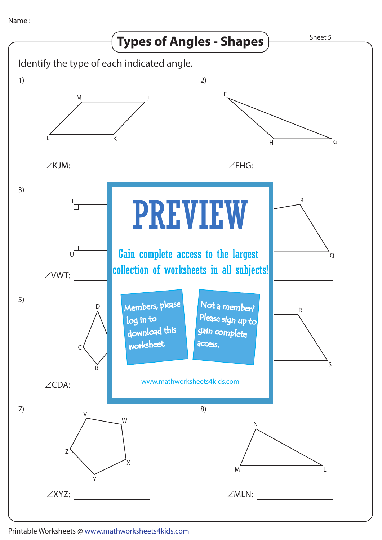